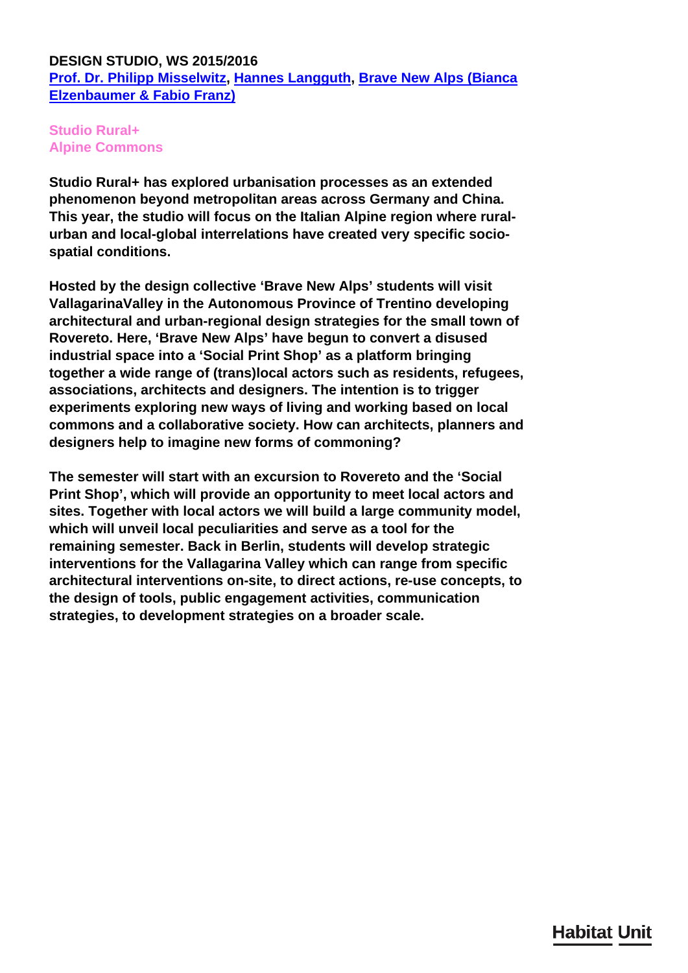# **DESIGN STUDIO, WS 2015/2016 [Prof. Dr. Philipp Misselwitz,](/en/team/philipp-misselwitz/) [Hannes Langguth,](/en/team/hannes-langguth/) [Brave New Alps \(Bianca](http://www.brave-new-alps.com) [Elzenbaumer & Fabio Franz\)](http://www.brave-new-alps.com)**

# **Studio Rural+ Alpine Commons**

**Studio Rural+ has explored urbanisation processes as an extended phenomenon beyond metropolitan areas across Germany and China. This year, the studio will focus on the Italian Alpine region where ruralurban and local-global interrelations have created very specific sociospatial conditions.**

**Hosted by the design collective 'Brave New Alps' students will visit VallagarinaValley in the Autonomous Province of Trentino developing architectural and urban-regional design strategies for the small town of Rovereto. Here, 'Brave New Alps' have begun to convert a disused industrial space into a 'Social Print Shop' as a platform bringing together a wide range of (trans)local actors such as residents, refugees, associations, architects and designers. The intention is to trigger experiments exploring new ways of living and working based on local commons and a collaborative society. How can architects, planners and designers help to imagine new forms of commoning?**

**The semester will start with an excursion to Rovereto and the 'Social Print Shop', which will provide an opportunity to meet local actors and sites. Together with local actors we will build a large community model, which will unveil local peculiarities and serve as a tool for the remaining semester. Back in Berlin, students will develop strategic interventions for the Vallagarina Valley which can range from specific architectural interventions on-site, to direct actions, re-use concepts, to the design of tools, public engagement activities, communication strategies, to development strategies on a broader scale.**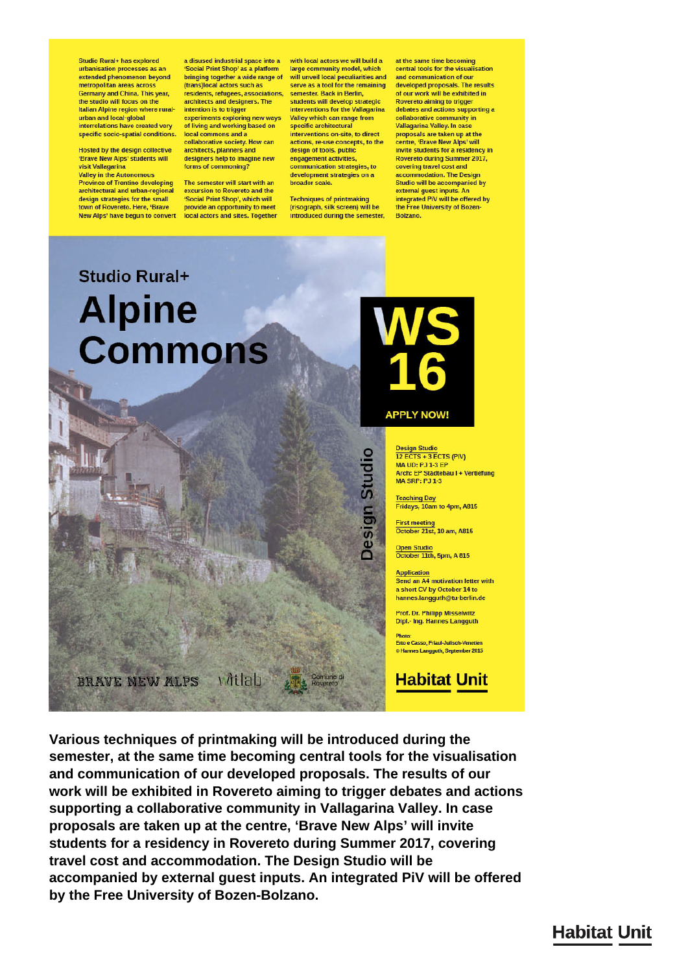Studio Rural+ has explored urbanisation processes as an extended phenomenon beyond metropolitan areas across Germany and China. This year,<br>the studio will focus on the Italian Alpine region where ruralurban and local-global interrelations have created very specific socio-spatial conditions.

Hosted by the design collective 'Brave New Alps' students will visit Vallagarina

**Valley in the Autonomous Province of Trentino developing** architectural and urban-regional design strategies for the small town of Rovereto. Here, 'Brave New Alps' have begun to convert local actors and sites. Together

a disused industrial space into a Social Print Shop' as a platform bringing together a wide range of (trans)local actors such as residents, refugees, associations,<br>architects and designers. The intention is to trigger experiments exploring new ways

of living and working based on local commons and a collaborative society. How can architects, planners and designers help to imagine new

The semester will start with an excursion to Rovereto and the 'Social Print Shop', which will provide an opportunity to meet

forms of commoning?

with local actors we will build a large community model, which will unveil local peculiarities and serve as a tool for the remaining semester, Back in Berlin. students will develop strategic interventions for the Vallagarina Valley which can range from specific architectural interventions on-site, to direct actions, re-use concepts, to the design of tools, public engagement activities, communication strategies, to development strategies on a broader scale.

**Techniques of printmaking** (risograph, silk screen) will be introduced during the semester.

at the same time becoming central tools for the visualisation and communication of our developed proposals. The results of our work will be exhibited in<br>Rovereto aiming to trigger debates and actions supporting a collaborative community in Vallagarina Valley. In case proposals are taken up at the centre, 'Brave New Alps' will invite students for a residency in Rovereto during Summer 2017, covering travel cost and accommodation. The Design Studio will be accompanied by external guest inputs. An integrated PiV will be offered by the Free University of Bozen-Bolzano.

Studio Rural+ **Alpine Commons** 

### **APPLY NOW!**

n Studio

pesig

Design Studio<br>12 ECTS + 3 ECTS (PIV) MA UD: PJ 1-3 EP Arch: EP Städtebau I + Vertiefung **MA SRP: PJ 1-3** 

Teaching Day<br>Fridays, 10am to 4pm, A815

First meeting<br>October 21st, 10 am, A815

**Joen Studio** October 11th, 5pm, A 815

**Application** Send an A4 motivation letter with a short CV by October 14 to hannes.langguth@tu-berlin.de

Prof. Dr. Philipp Misselwitz **Dipl.- Ing. Hannes Langguth** 

Erto e Casso, Friaul-Julisch-Venetien · Hannes Langquth, September 2015

**Habitat Unit** 

Various techniques of printmaking will be introduced during the semester, at the same time becoming central tools for the visualisation and communication of our developed proposals. The results of our work will be exhibited in Rovereto aiming to trigger debates and actions supporting a collaborative community in Vallagarina Valley. In case proposals are taken up at the centre, 'Brave New Alps' will invite students for a residency in Rovereto during Summer 2017, covering travel cost and accommodation. The Design Studio will be accompanied by external quest inputs. An integrated PiV will be offered by the Free University of Bozen-Bolzano.

vitlab

**BRAVE NEW ALPS**